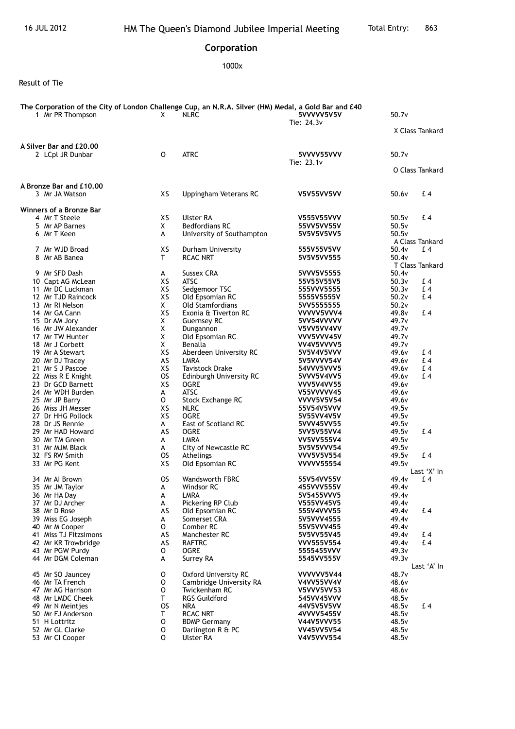## **Corporation**

1000x

Result of Tie

| The Corporation of the City of London Challenge Cup, an N.R.A. Silver (HM) Medal, a Gold Bar and £40 |           |                             |                            |                   |                 |  |  |
|------------------------------------------------------------------------------------------------------|-----------|-----------------------------|----------------------------|-------------------|-----------------|--|--|
| 1 Mr PR Thompson                                                                                     | X         | <b>NLRC</b>                 | 5VVVVV5V5V                 | 50.7v             |                 |  |  |
|                                                                                                      |           |                             | Tie: 24.3v                 |                   | X Class Tankard |  |  |
| A Silver Bar and £20.00                                                                              |           |                             |                            |                   |                 |  |  |
| 2 LCpl JR Dunbar                                                                                     | 0         | <b>ATRC</b>                 | 5VVVV55VVV<br>Tie: $23.1v$ | 50.7v             |                 |  |  |
|                                                                                                      |           |                             |                            |                   | O Class Tankard |  |  |
| A Bronze Bar and £10.00                                                                              |           |                             |                            |                   |                 |  |  |
| 3 Mr JA Watson                                                                                       | XS        | Uppingham Veterans RC       | <b>V5V55VV5VV</b>          | 50.6v             | £4              |  |  |
| Winners of a Bronze Bar                                                                              |           |                             |                            |                   |                 |  |  |
| 4 Mr T Steele                                                                                        | XS        | Ulster RA                   | <b>V555V55VVV</b>          | 50.5v             | £4              |  |  |
| 5 Mr AP Barnes                                                                                       | X         | <b>Bedfordians RC</b>       | 55VV5VV55V                 | 50.5v             |                 |  |  |
| 6 Mr T Keen                                                                                          | A         | University of Southampton   | 5V5V5V5VV5                 | 50.5v             | A Class Tankard |  |  |
| 7 Mr WJD Broad                                                                                       | хs        | Durham University           | 555V55V5VV                 | 50.4v             | £4              |  |  |
| 8 Mr AB Banea                                                                                        | T.        | <b>RCAC NRT</b>             | 5V5V5VV555                 | 50.4v             |                 |  |  |
|                                                                                                      |           |                             |                            |                   | T Class Tankard |  |  |
| 9 Mr SFD Dash                                                                                        | A         | Sussex CRA                  | 5VVV5V5555                 | 50.4v             |                 |  |  |
| 10 Capt AG McLean                                                                                    | XS        | <b>ATSC</b>                 | 55V55V55V5                 | 50.3v             | £4              |  |  |
| 11 Mr DC Luckman                                                                                     | XS        | Sedgemoor TSC               | 555VVV5555                 | 50.3v             | £4              |  |  |
| 12 Mr TJD Raincock                                                                                   | XS        | Old Epsomian RC             | 5555V5555V                 | 50.2v             | £4              |  |  |
| 13 Mr RI Nelson                                                                                      | X.        | <b>Old Stamfordians</b>     | 5VV5555555                 | 50.2v             |                 |  |  |
| 14 Mr GA Cann                                                                                        | XS        | Exonia & Tiverton RC        | VVVVV5VVV4                 | 49.8v             | £4              |  |  |
| 15 Dr AM Jory                                                                                        | X         | <b>Guernsey RC</b>          | 5VV54VVVVV                 | 49.7v             |                 |  |  |
| 16 Mr JW Alexander                                                                                   | X         | Dungannon                   | V5VV5VV4VV                 | 49.7 <sub>v</sub> |                 |  |  |
| 17 Mr TW Hunter                                                                                      | X         | Old Epsomian RC             | VVV5VVV45V                 | 49.7v             |                 |  |  |
| 18 Mr J Corbett                                                                                      | X         | Benalla                     | VV4V5VVVV5                 | 49.7 <sub>v</sub> |                 |  |  |
| 19 Mr A Stewart                                                                                      | XS        | Aberdeen University RC      | 5V5V4V5VVV                 | 49.6v             | £4              |  |  |
| 20 Mr DJ Tracey                                                                                      | AS        | LMRA                        | 5V5VVVV54V                 | 49.6v             | £4              |  |  |
| 21 Mr S J Pascoe                                                                                     | XS        | <b>Tavistock Drake</b>      | 54VVV5VVV5                 | 49.6v             | £4              |  |  |
| 22 Miss R E Knight                                                                                   | <b>OS</b> | Edinburgh University RC     | 5VVV5V4VV5                 | 49.6v             | £4              |  |  |
| 23 Dr GCD Barnett                                                                                    | XS        | <b>OGRE</b>                 | <b>VVV5V4VV55</b>          | 49.6v             |                 |  |  |
| 24 Mr WDH Burden                                                                                     | A         | <b>ATSC</b>                 | V55VVVVV45                 | 49.6v             |                 |  |  |
| 25 Mr JP Barry                                                                                       | 0         | Stock Exchange RC           | <b>VVVV5V5V54</b>          | 49.6v             |                 |  |  |
| 26 Miss JH Messer                                                                                    | XS        | <b>NLRC</b>                 | 55V54V5VVV                 | 49.5v             |                 |  |  |
| 27 Dr HHG Pollock                                                                                    | XS        | <b>OGRE</b>                 | 5V55VV4V5V                 | 49.5v             |                 |  |  |
| 28 Dr JS Rennie                                                                                      | A         | East of Scotland RC         | 5VVV45VV55                 | 49.5v             |                 |  |  |
| 29 Mr HAD Howard                                                                                     | AS        | <b>OGRE</b>                 | 5VV5V55VV4                 | 49.5v             | £4              |  |  |
| 30 Mr TM Green                                                                                       | A         | <b>LMRA</b>                 | <b>VV5VV555V4</b>          | 49.5v             |                 |  |  |
| 31 Mr MJM Black                                                                                      | A         | City of Newcastle RC        | 5V5V5VVV54                 | 49.5v             |                 |  |  |
| 32 FS RW Smith                                                                                       | <b>OS</b> | Athelings                   | <b>VVV5V5V554</b>          | 49.5v             | £4              |  |  |
| 33 Mr PG Kent                                                                                        | XS        | Old Epsomian RC             | <b>VVVVV55554</b>          | 49.5v             |                 |  |  |
|                                                                                                      |           |                             |                            |                   | Last 'X' In     |  |  |
| 34 Mr Al Brown                                                                                       | OS.       | <b>Wandsworth FBRC</b>      | 55V54VV55V                 | 49.4 <sub>v</sub> | £4              |  |  |
| 35 Mr JM Taylor                                                                                      | A         | Windsor RC                  | 455VVV555V                 | 49.4 <sub>v</sub> |                 |  |  |
| 36 Mr HA Day                                                                                         | A         | LMRA                        | 5V5455VVV5                 | 49.4v             |                 |  |  |
| 37 Mr DJ Archer                                                                                      | A         | Pickering RP Club           | V555VV45V5                 | 49.4v             |                 |  |  |
| 38 Mr D Rose                                                                                         | AS        | Old Epsomian RC             | 555V4VVV55                 | 49.4v             | £4              |  |  |
| 39 Miss EG Joseph                                                                                    | A         | Somerset CRA                | 5V5VVV4555                 | 49.4v             |                 |  |  |
| 40 Mr M Cooper                                                                                       | 0         | Comber RC                   | 55V5VVV455                 | 49.4v             |                 |  |  |
| 41 Miss TJ Fitzsimons                                                                                | AS        | Manchester RC               | 5V5VV55V45                 | 49.4v             | £4              |  |  |
| 42 Mr KR Trowbridge                                                                                  | AS        | <b>RAFTRC</b>               | <b>VVV555V554</b>          | 49.4v             | £4              |  |  |
| 43 Mr PGW Purdy                                                                                      | O         | <b>OGRE</b>                 | 5555455VVV                 | 49.3v             |                 |  |  |
| 44 Mr DGM Coleman                                                                                    | A         | Surrey RA                   | 5545VV555V                 | 49.3v             | Last 'A' In     |  |  |
| 45 Mr SO Jauncey                                                                                     | 0         | <b>Oxford University RC</b> | VVVVVV5V44                 | 48.7v             |                 |  |  |
| 46 Mr TA French                                                                                      | 0         | Cambridge University RA     | V4VV55VV4V                 | 48.6v             |                 |  |  |
| 47 Mr AG Harrison                                                                                    | 0         | Twickenham RC               | V5VVV5VV53                 | 48.6v             |                 |  |  |
| 48 Mr LMDC Cheek                                                                                     | т         | <b>RGS Guildford</b>        | 545VV45VVV                 | 48.5v             |                 |  |  |
| 49 Mr N Meintjes                                                                                     | <b>OS</b> | NRA                         | 44V5V5V5VV                 | 48.5v             | £4              |  |  |
| 50 Mr FJ Anderson                                                                                    | т         | <b>RCAC NRT</b>             | 4VVVV5455V                 | 48.5v             |                 |  |  |
| 51 H Lottritz                                                                                        | 0         | <b>BDMP Germany</b>         | V44V5VVV55                 | 48.5v             |                 |  |  |
| 52 Mr GL Clarke                                                                                      | 0         | Darlington R & PC           | <b>VV45VV5V54</b>          | 48.5v             |                 |  |  |
| 53 Mr CI Cooper                                                                                      | 0         | Ulster RA                   | V4V5VVV554                 | 48.5v             |                 |  |  |
|                                                                                                      |           |                             |                            |                   |                 |  |  |